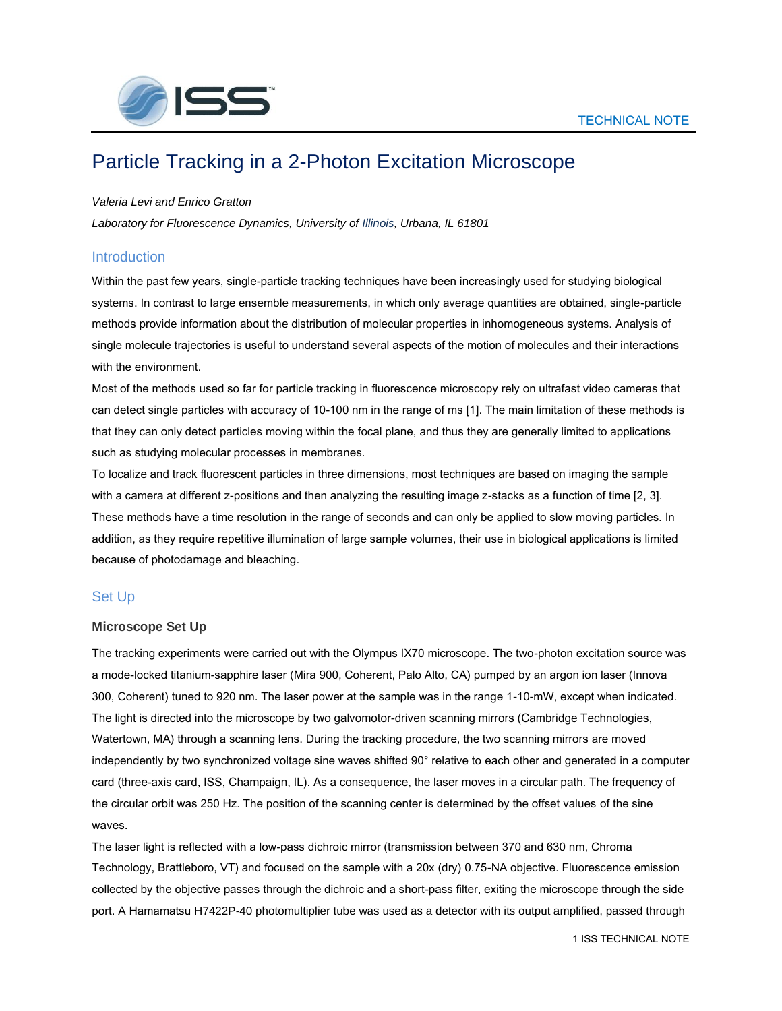

# Particle Tracking in a 2-Photon Excitation Microscope

#### *Valeria Levi and Enrico Gratton*

*Laboratory for Fluorescence Dynamics, University of Illinois, Urbana, IL 61801*

## **Introduction**

Within the past few years, single-particle tracking techniques have been increasingly used for studying biological systems. In contrast to large ensemble measurements, in which only average quantities are obtained, single-particle methods provide information about the distribution of molecular properties in inhomogeneous systems. Analysis of single molecule trajectories is useful to understand several aspects of the motion of molecules and their interactions with the environment.

Most of the methods used so far for particle tracking in fluorescence microscopy rely on ultrafast video cameras that can detect single particles with accuracy of 10-100 nm in the range of ms [1]. The main limitation of these methods is that they can only detect particles moving within the focal plane, and thus they are generally limited to applications such as studying molecular processes in membranes.

To localize and track fluorescent particles in three dimensions, most techniques are based on imaging the sample with a camera at different z-positions and then analyzing the resulting image z-stacks as a function of time [2, 3]. These methods have a time resolution in the range of seconds and can only be applied to slow moving particles. In addition, as they require repetitive illumination of large sample volumes, their use in biological applications is limited because of photodamage and bleaching.

## Set Up

#### **Microscope Set Up**

The tracking experiments were carried out with the Olympus IX70 microscope. The two-photon excitation source was a mode-locked titanium-sapphire laser (Mira 900, Coherent, Palo Alto, CA) pumped by an argon ion laser (Innova 300, Coherent) tuned to 920 nm. The laser power at the sample was in the range 1-10-mW, except when indicated. The light is directed into the microscope by two galvomotor-driven scanning mirrors (Cambridge Technologies, Watertown, MA) through a scanning lens. During the tracking procedure, the two scanning mirrors are moved independently by two synchronized voltage sine waves shifted 90° relative to each other and generated in a computer card (three-axis card, ISS, Champaign, IL). As a consequence, the laser moves in a circular path. The frequency of the circular orbit was 250 Hz. The position of the scanning center is determined by the offset values of the sine waves.

The laser light is reflected with a low-pass dichroic mirror (transmission between 370 and 630 nm, Chroma Technology, Brattleboro, VT) and focused on the sample with a 20x (dry) 0.75-NA objective. Fluorescence emission collected by the objective passes through the dichroic and a short-pass filter, exiting the microscope through the side port. A Hamamatsu H7422P-40 photomultiplier tube was used as a detector with its output amplified, passed through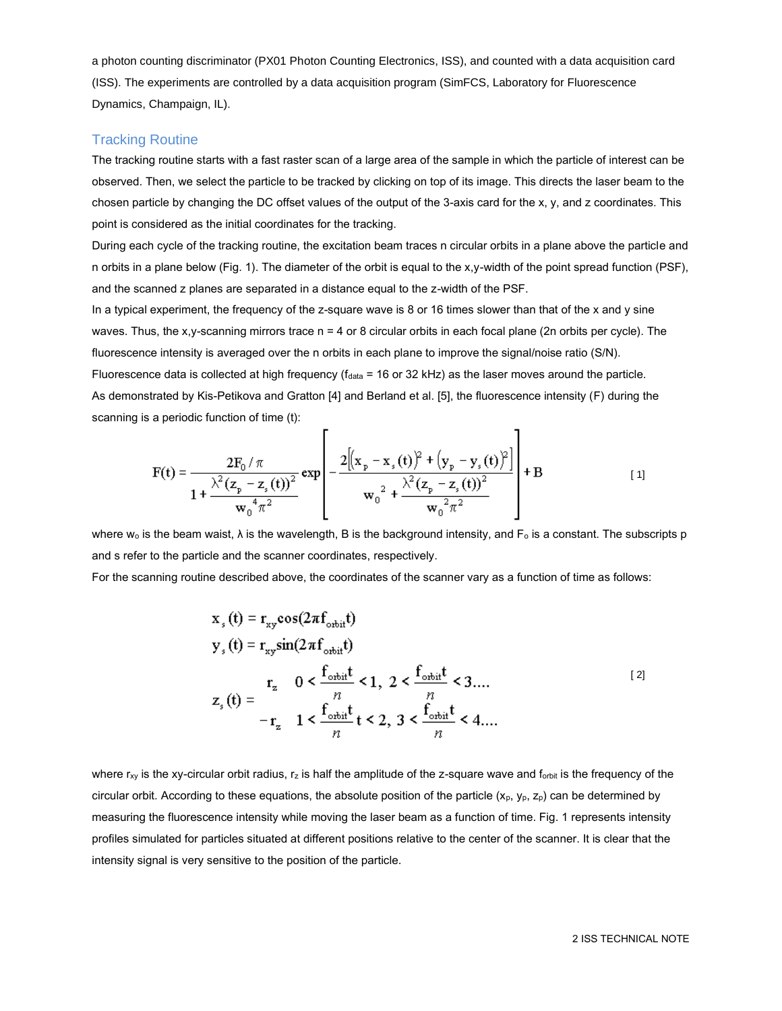a photon counting discriminator (PX01 Photon Counting Electronics, ISS), and counted with a data acquisition card (ISS). The experiments are controlled by a data acquisition program (SimFCS, Laboratory for Fluorescence Dynamics, Champaign, IL).

## Tracking Routine

The tracking routine starts with a fast raster scan of a large area of the sample in which the particle of interest can be observed. Then, we select the particle to be tracked by clicking on top of its image. This directs the laser beam to the chosen particle by changing the DC offset values of the output of the 3-axis card for the x, y, and z coordinates. This point is considered as the initial coordinates for the tracking.

During each cycle of the tracking routine, the excitation beam traces n circular orbits in a plane above the particle and n orbits in a plane below (Fig. 1). The diameter of the orbit is equal to the x,y-width of the point spread function (PSF), and the scanned z planes are separated in a distance equal to the z-width of the PSF.

In a typical experiment, the frequency of the z-square wave is 8 or 16 times slower than that of the x and y sine waves. Thus, the x,y-scanning mirrors trace  $n = 4$  or 8 circular orbits in each focal plane (2n orbits per cycle). The fluorescence intensity is averaged over the n orbits in each plane to improve the signal/noise ratio (S/N). Fluorescence data is collected at high frequency ( $f_{data}$  = 16 or 32 kHz) as the laser moves around the particle. As demonstrated by Kis-Petikova and Gratton [4] and Berland et al. [5], the fluorescence intensity (F) during the scanning is a periodic function of time (t):

'n

$$
F(t) = \frac{2F_0/\pi}{1 + \frac{\lambda^2 (z_p - z_s(t))^2}{w_0^4 \pi^2}} exp \left[ -\frac{2[(x_p - x_s(t))^2 + (y_p - y_s(t))^2]}{w_0^2 + \frac{\lambda^2 (z_p - z_s(t))^2}{w_0^2 \pi^2}} \right] + B
$$
 [1]

h,

where w<sub>o</sub> is the beam waist,  $\lambda$  is the wavelength, B is the background intensity, and  $F_o$  is a constant. The subscripts p and s refer to the particle and the scanner coordinates, respectively.

For the scanning routine described above, the coordinates of the scanner vary as a function of time as follows:

$$
x_{s}(t) = r_{xy}\cos(2\pi f_{\text{orbit}}t)
$$
  
\n
$$
y_{s}(t) = r_{xy}\sin(2\pi f_{\text{orbit}}t)
$$
  
\n
$$
r_{z} = 0 < \frac{f_{\text{orbit}}t}{n} < 1, 2 < \frac{f_{\text{orbit}}t}{n} < 3...
$$
  
\n
$$
z_{s}(t) = -r_{z} = 1 < \frac{f_{\text{orbit}}t}{n} t < 2, 3 < \frac{f_{\text{orbit}}t}{n} < 4...
$$
 [2]

where  $r_{xy}$  is the xy-circular orbit radius,  $r_z$  is half the amplitude of the z-square wave and  $f_{\text{orbit}}$  is the frequency of the circular orbit. According to these equations, the absolute position of the particle  $(x_0, y_0, z_0)$  can be determined by measuring the fluorescence intensity while moving the laser beam as a function of time. Fig. 1 represents intensity profiles simulated for particles situated at different positions relative to the center of the scanner. It is clear that the intensity signal is very sensitive to the position of the particle.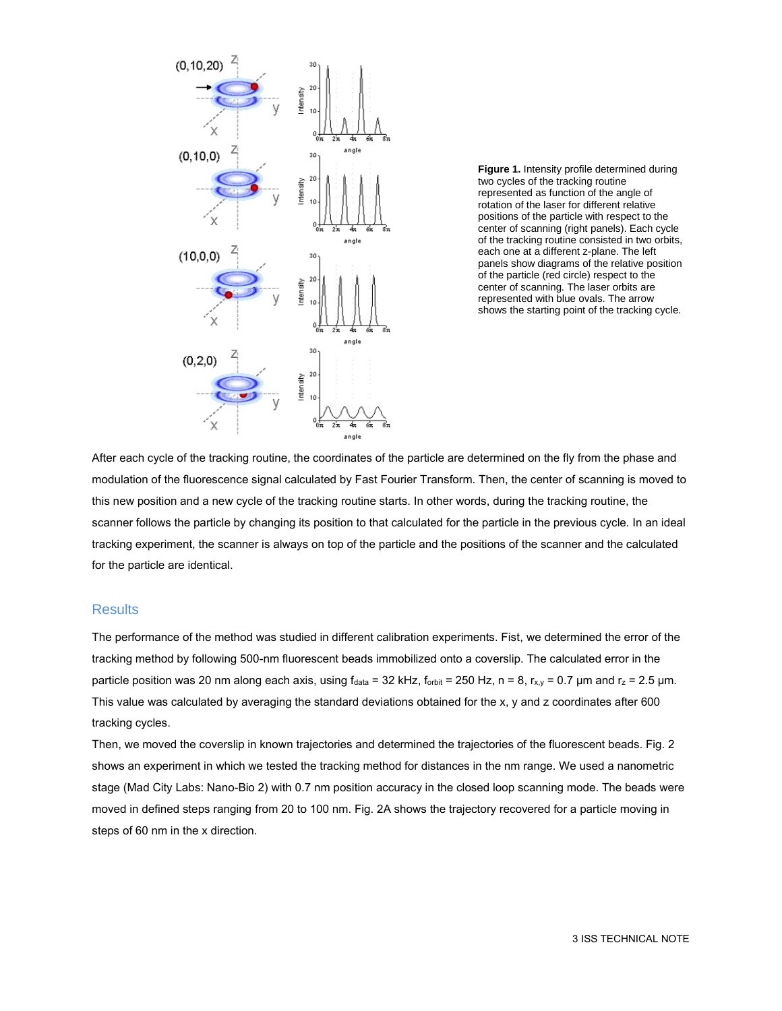

**Figure 1.** Intensity profile determined during two cycles of the tracking routine represented as function of the angle of rotation of the laser for different relative positions of the particle with respect to the center of scanning (right panels). Each cycle of the tracking routine consisted in two orbits, each one at a different z-plane. The left panels show diagrams of the relative position of the particle (red circle) respect to the center of scanning. The laser orbits are represented with blue ovals. The arrow shows the starting point of the tracking cycle.

After each cycle of the tracking routine, the coordinates of the particle are determined on the fly from the phase and modulation of the fluorescence signal calculated by Fast Fourier Transform. Then, the center of scanning is moved to this new position and a new cycle of the tracking routine starts. In other words, during the tracking routine, the scanner follows the particle by changing its position to that calculated for the particle in the previous cycle. In an ideal tracking experiment, the scanner is always on top of the particle and the positions of the scanner and the calculated for the particle are identical.

### **Results**

The performance of the method was studied in different calibration experiments. Fist, we determined the error of the tracking method by following 500-nm fluorescent beads immobilized onto a coverslip. The calculated error in the particle position was 20 nm along each axis, using  $f_{data} = 32$  kHz,  $f_{orbit} = 250$  Hz,  $n = 8$ ,  $r_{x,y} = 0.7$  µm and  $r_z = 2.5$  µm. This value was calculated by averaging the standard deviations obtained for the x, y and z coordinates after 600 tracking cycles.

Then, we moved the coverslip in known trajectories and determined the trajectories of the fluorescent beads. Fig. 2 shows an experiment in which we tested the tracking method for distances in the nm range. We used a nanometric stage (Mad City Labs: Nano-Bio 2) with 0.7 nm position accuracy in the closed loop scanning mode. The beads were moved in defined steps ranging from 20 to 100 nm. Fig. 2A shows the trajectory recovered for a particle moving in steps of 60 nm in the x direction.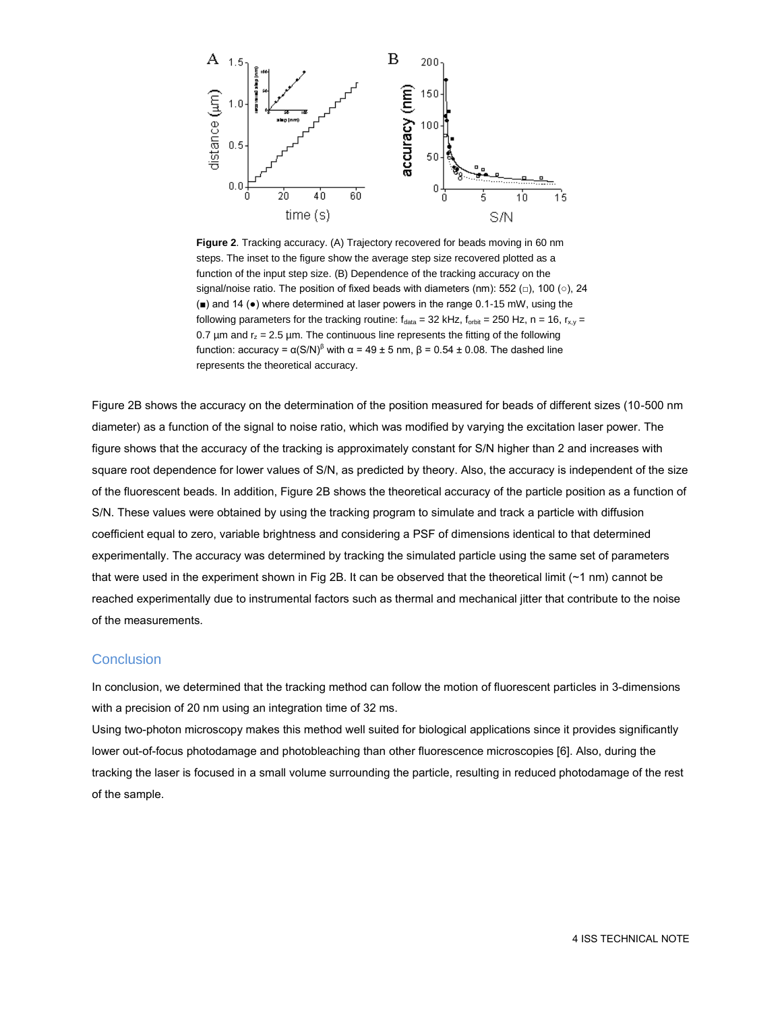

**Figure 2**. Tracking accuracy. (A) Trajectory recovered for beads moving in 60 nm steps. The inset to the figure show the average step size recovered plotted as a function of the input step size. (B) Dependence of the tracking accuracy on the signal/noise ratio. The position of fixed beads with diameters (nm): 552 ( $\Box$ ), 100 ( $\circ$ ), 24 (■) and 14 (●) where determined at laser powers in the range 0.1-15 mW, using the following parameters for the tracking routine:  $f_{data} = 32$  kHz,  $f_{orbit} = 250$  Hz,  $n = 16$ ,  $r_{x,y} =$ 0.7  $\mu$ m and  $r_z$  = 2.5  $\mu$ m. The continuous line represents the fitting of the following function: accuracy =  $\alpha(S/N)^8$  with  $\alpha = 49 \pm 5$  nm,  $\beta = 0.54 \pm 0.08$ . The dashed line represents the theoretical accuracy.

Figure 2B shows the accuracy on the determination of the position measured for beads of different sizes (10-500 nm diameter) as a function of the signal to noise ratio, which was modified by varying the excitation laser power. The figure shows that the accuracy of the tracking is approximately constant for S/N higher than 2 and increases with square root dependence for lower values of S/N, as predicted by theory. Also, the accuracy is independent of the size of the fluorescent beads. In addition, Figure 2B shows the theoretical accuracy of the particle position as a function of S/N. These values were obtained by using the tracking program to simulate and track a particle with diffusion coefficient equal to zero, variable brightness and considering a PSF of dimensions identical to that determined experimentally. The accuracy was determined by tracking the simulated particle using the same set of parameters that were used in the experiment shown in Fig 2B. It can be observed that the theoretical limit (~1 nm) cannot be reached experimentally due to instrumental factors such as thermal and mechanical jitter that contribute to the noise of the measurements.

### **Conclusion**

In conclusion, we determined that the tracking method can follow the motion of fluorescent particles in 3-dimensions with a precision of 20 nm using an integration time of 32 ms.

Using two-photon microscopy makes this method well suited for biological applications since it provides significantly lower out-of-focus photodamage and photobleaching than other fluorescence microscopies [6]. Also, during the tracking the laser is focused in a small volume surrounding the particle, resulting in reduced photodamage of the rest of the sample.